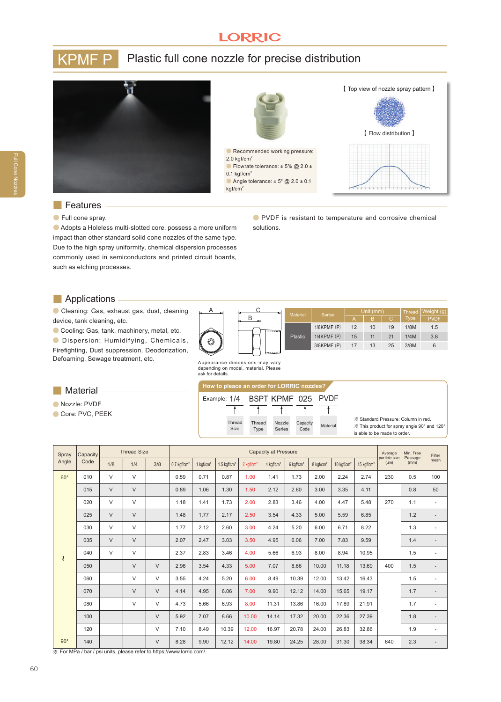# **LORRIC**

# KPMF P Plastic full cone nozzle for precise distribution





## **■** Features

### ● Full cone spray.

**●** Adopts a Holeless multi-slotted core, possess a more uniform impact than other standard solid cone nozzles of the same type. Due to the high spray uniformity, chemical dispersion processes commonly used in semiconductors and printed circuit boards, such as etching processes.

**●** PVDF is resistant to temperature and corrosive chemical solutions.

### **■** Applications

**●** Cleaning: Gas, exhaust gas, dust, cleaning device, tank cleaning, etc.

**●** Cooling: Gas, tank, machinery, metal, etc.

**●** Dispersion: Humidifying, Chemicals, Firefighting, Dust suppression, Deodorization, Defoaming, Sewage treatment, etc.



Appearance dimensions may vary depending on model, material. Please ask for details.

### **■** Material

**●** Nozzle: PVDF

**●** Core: PVC, PEEK

#### **How to pleace an order for LORRIC nozzles?**



※ Standard Pressure: Column in red. ※ This product for spray angle 90° and 120° is able to be made to order.

| Spray<br>Angle | Capacity<br>Code | <b>Thread Size</b> |        |        | <b>Capacity at Pressure</b> |                       |                           |                       |                       |                       |                       |                        |                        | Average<br>particle size | Min. Free<br>Passage | Filter |
|----------------|------------------|--------------------|--------|--------|-----------------------------|-----------------------|---------------------------|-----------------------|-----------------------|-----------------------|-----------------------|------------------------|------------------------|--------------------------|----------------------|--------|
|                |                  | 1/8                | 1/4    | 3/8    | $0.7$ kgf/cm <sup>2</sup>   | 1 kgf/cm <sup>2</sup> | $1.5$ kgf/cm <sup>2</sup> | 2 kgf/cm <sup>2</sup> | 4 kgf/cm <sup>2</sup> | 6 kgf/cm <sup>2</sup> | 8 kgf/cm <sup>2</sup> | 10 kgf/cm <sup>2</sup> | 15 kgf/cm <sup>2</sup> | (num)                    | (mm)                 | mesh   |
| $60^\circ$     | 010              | V                  | $\vee$ |        | 0.59                        | 0.71                  | 0.87                      | 1.00                  | 1.41                  | 1.73                  | 2.00                  | 2.24                   | 2.74                   | 230                      | 0.5                  | 100    |
| ₹              | 015              | $\vee$             | $\vee$ |        | 0.89                        | 1.06                  | 1.30                      | 1.50                  | 2.12                  | 2.60                  | 3.00                  | 3.35                   | 4.11                   |                          | 0.8                  | 50     |
|                | 020              | $\vee$             | $\vee$ |        | 1.18                        | 1.41                  | 1.73                      | 2.00                  | 2.83                  | 3.46                  | 4.00                  | 4.47                   | 5.48                   | 270                      | 1.1                  |        |
|                | 025              | $\vee$             | $\vee$ |        | 1.48                        | 1.77                  | 2.17                      | 2.50                  | 3.54                  | 4.33                  | 5.00                  | 5.59                   | 6.85                   |                          | 1.2                  |        |
|                | 030              | $\vee$             | $\vee$ |        | 1.77                        | 2.12                  | 2.60                      | 3.00                  | 4.24                  | 5.20                  | 6.00                  | 6.71                   | 8.22                   |                          | 1.3                  | ٠      |
|                | 035              | $\vee$             | $\vee$ |        | 2.07                        | 2.47                  | 3.03                      | 3.50                  | 4.95                  | 6.06                  | 7.00                  | 7.83                   | 9.59                   |                          | 1.4                  | ٠      |
|                | 040              | $\vee$             | $\vee$ |        | 2.37                        | 2.83                  | 3.46                      | 4.00                  | 5.66                  | 6.93                  | 8.00                  | 8.94                   | 10.95                  |                          | 1.5                  |        |
|                | 050              |                    | $\vee$ | $\vee$ | 2.96                        | 3.54                  | 4.33                      | 5.00                  | 7.07                  | 8.66                  | 10.00                 | 11.18                  | 13.69                  | 400                      | 1.5                  |        |
|                | 060              |                    | $\vee$ | $\vee$ | 3.55                        | 4.24                  | 5.20                      | 6.00                  | 8.49                  | 10.39                 | 12.00                 | 13.42                  | 16.43                  |                          | 1.5                  | ٠      |
|                | 070              |                    | $\vee$ | $\vee$ | 4.14                        | 4.95                  | 6.06                      | 7.00                  | 9.90                  | 12.12                 | 14.00                 | 15.65                  | 19.17                  |                          | 1.7                  |        |
|                | 080              |                    | $\vee$ | $\vee$ | 4.73                        | 5.66                  | 6.93                      | 8.00                  | 11.31                 | 13.86                 | 16.00                 | 17.89                  | 21.91                  |                          | 1.7                  | ÷,     |
|                | 100              |                    |        | $\vee$ | 5.92                        | 7.07                  | 8.66                      | 10.00                 | 14.14                 | 17.32                 | 20.00                 | 22.36                  | 27.39                  |                          | 1.8                  |        |
|                | 120              |                    |        | $\vee$ | 7.10                        | 8.49                  | 10.39                     | 12.00                 | 16.97                 | 20.78                 | 24.00                 | 26.83                  | 32.86                  |                          | 1.9                  |        |
| $90^\circ$     | 140              |                    |        | $\vee$ | 8.28                        | 9.90                  | 12.12                     | 14.00                 | 19.80                 | 24.25                 | 28.00                 | 31.30                  | 38.34                  | 640                      | 2.3                  |        |

※ For MPa / bar / psi units, please refer to https://www.lorric.com/.